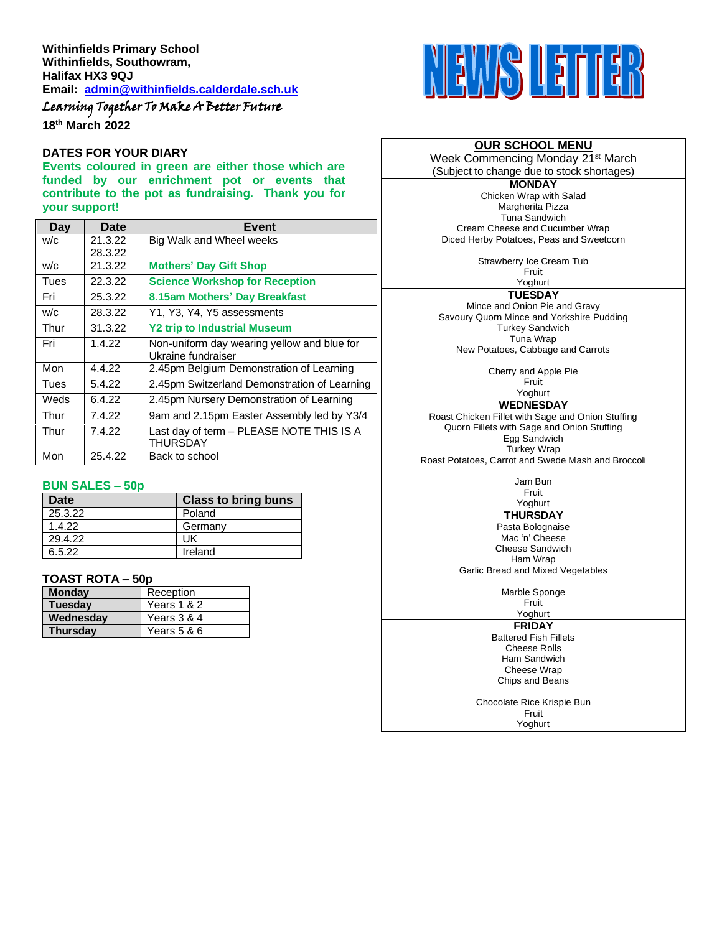# Learning Together To Make A Better Future

**18 th March 2022**

#### **DATES FOR YOUR DIARY**

**Events coloured in green are either those which are funded by our enrichment pot or events that contribute to the pot as fundraising. Thank you for your support!**

| Day  | Date    | Event                                                       |
|------|---------|-------------------------------------------------------------|
| W/C  | 21.3.22 | Big Walk and Wheel weeks                                    |
|      | 28.3.22 |                                                             |
| W/C  | 21.3.22 | <b>Mothers' Day Gift Shop</b>                               |
| Tues | 22.3.22 | <b>Science Workshop for Reception</b>                       |
| Fri  | 25.3.22 | 8.15am Mothers' Day Breakfast                               |
| W/C  | 28.3.22 | Y1, Y3, Y4, Y5 assessments                                  |
| Thur | 31.3.22 | <b>Y2 trip to Industrial Museum</b>                         |
| Fri  | 1.4.22  | Non-uniform day wearing yellow and blue for                 |
|      |         | Ukraine fundraiser                                          |
| Mon  | 4.4.22  | 2.45pm Belgium Demonstration of Learning                    |
| Tues | 5.4.22  | 2.45pm Switzerland Demonstration of Learning                |
| Weds | 6.4.22  | 2.45pm Nursery Demonstration of Learning                    |
| Thur | 7.4.22  | 9am and 2.15pm Easter Assembly led by Y3/4                  |
| Thur | 7.4.22  | Last day of term - PLEASE NOTE THIS IS A<br><b>THURSDAY</b> |
| Mon  | 25.4.22 | Back to school                                              |

#### **BUN SALES – 50p**

| Date    | <b>Class to bring buns</b> |
|---------|----------------------------|
| 25.3.22 | Poland                     |
| 1.4.22  | Germany                    |
| 29.4.22 | UK                         |
| 6.5.22  | Ireland                    |

#### **TOAST ROTA – 50p**

| <b>Monday</b>   | Reception   |
|-----------------|-------------|
| <b>Tuesday</b>  | Years 1 & 2 |
| Wednesday       | Years 3 & 4 |
| <b>Thursdav</b> | Years 5 & 6 |



# **OUR SCHOOL MENU**

Week Commencing Monday 21<sup>st</sup> March (Subject to change due to stock shortages)

**MONDAY** Chicken Wrap with Salad Margherita Pizza Tuna Sandwich Cream Cheese and Cucumber Wrap Diced Herby Potatoes, Peas and Sweetcorn

Strawberry Ice Cream Tub

Fruit Yoghurt

**TUESDAY**

Mince and Onion Pie and Gravy Savoury Quorn Mince and Yorkshire Pudding Turkey Sandwich Tuna Wrap New Potatoes, Cabbage and Carrots

> Cherry and Apple Pie Fruit

Yoghurt **WEDNESDAY**

Roast Chicken Fillet with Sage and Onion Stuffing Quorn Fillets with Sage and Onion Stuffing Egg Sandwich Turkey Wrap

Roast Potatoes, Carrot and Swede Mash and Broccoli

Jam Bun Fruit

Yoghurt **THURSDAY**

Pasta Bolognaise Mac 'n' Cheese Cheese Sandwich Ham Wrap Garlic Bread and Mixed Vegetables

Marble Sponge

Fruit Yoghurt

**FRIDAY**

Battered Fish Fillets Cheese Rolls Ham Sandwich Cheese Wrap Chips and Beans

Chocolate Rice Krispie Bun Fruit Yoghurt